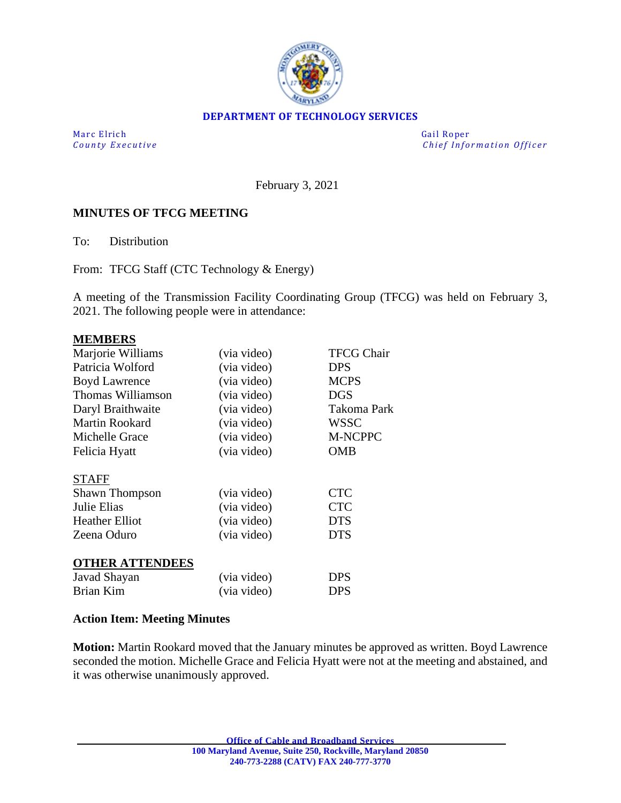

## **DEPARTMENT OF TECHNOLOGY SERVICES**

Marc Elrich Gail Roper

*County Executive County Executive Chief Information Officer* 

February 3, 2021

## **MINUTES OF TFCG MEETING**

To: Distribution

From: TFCG Staff (CTC Technology & Energy)

A meeting of the Transmission Facility Coordinating Group (TFCG) was held on February 3, 2021. The following people were in attendance:

#### **MEMBERS**

| Marjorie Williams      | (via video) | <b>TFCG Chair</b> |
|------------------------|-------------|-------------------|
| Patricia Wolford       | (via video) | <b>DPS</b>        |
| <b>Boyd Lawrence</b>   | (via video) | <b>MCPS</b>       |
| Thomas Williamson      | (via video) | <b>DGS</b>        |
| Daryl Braithwaite      | (via video) | Takoma Park       |
| Martin Rookard         | (via video) | <b>WSSC</b>       |
| Michelle Grace         | (via video) | M-NCPPC           |
| Felicia Hyatt          | (via video) | <b>OMB</b>        |
| <b>STAFF</b>           |             |                   |
| <b>Shawn Thompson</b>  | (via video) | <b>CTC</b>        |
| Julie Elias            | (via video) | <b>CTC</b>        |
| <b>Heather Elliot</b>  | (via video) | <b>DTS</b>        |
| Zeena Oduro            | (via video) | <b>DTS</b>        |
| <b>OTHER ATTENDEES</b> |             |                   |
| Javad Shayan           | (via video) | <b>DPS</b>        |
| Brian Kim              | (via video) | <b>DPS</b>        |

### **Action Item: Meeting Minutes**

**Motion:** Martin Rookard moved that the January minutes be approved as written. Boyd Lawrence seconded the motion. Michelle Grace and Felicia Hyatt were not at the meeting and abstained, and it was otherwise unanimously approved.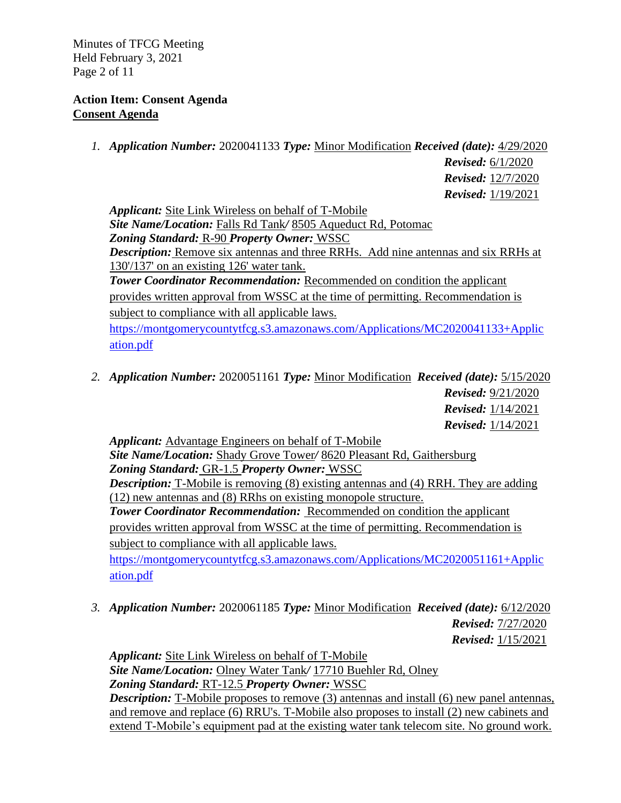Minutes of TFCG Meeting Held February 3, 2021 Page 2 of 11

## **Action Item: Consent Agenda Consent Agenda**

*1. Application Number:* 2020041133 *Type:* Minor Modification *Received (date):* 4/29/2020

 *Revised:* 6/1/2020  *Revised:* 12/7/2020  *Revised:* 1/19/2021

*Applicant:* Site Link Wireless on behalf of T-Mobile *Site Name/Location:* Falls Rd Tank*/* 8505 Aqueduct Rd, Potomac *Zoning Standard:* R-90 *Property Owner:* WSSC *Description:* Remove six antennas and three RRHs. Add nine antennas and six RRHs at 130'/137' on an existing 126' water tank. *Tower Coordinator Recommendation:* Recommended on condition the applicant provides written approval from WSSC at the time of permitting. Recommendation is subject to compliance with all applicable laws.

[https://montgomerycountytfcg.s3.amazonaws.com/Applications/MC2020041133+Applic](https://montgomerycountytfcg.s3.amazonaws.com/Applications/MC2020041133+Application.pdf) [ation.pdf](https://montgomerycountytfcg.s3.amazonaws.com/Applications/MC2020041133+Application.pdf)

*2. Application Number:* 2020051161 *Type:* Minor Modification *Received (date):* 5/15/2020

 *Revised:* 9/21/2020  *Revised:* 1/14/2021  *Revised:* 1/14/2021

*Applicant:* Advantage Engineers on behalf of T-Mobile *Site Name/Location:* Shady Grove Tower*/* 8620 Pleasant Rd, Gaithersburg *Zoning Standard:* GR-1.5 *Property Owner:* WSSC *Description:* T-Mobile is removing (8) existing antennas and (4) RRH. They are adding (12) new antennas and (8) RRhs on existing monopole structure. *Tower Coordinator Recommendation:* Recommended on condition the applicant provides written approval from WSSC at the time of permitting. Recommendation is subject to compliance with all applicable laws. [https://montgomerycountytfcg.s3.amazonaws.com/Applications/MC2020051161+Applic](https://montgomerycountytfcg.s3.amazonaws.com/Applications/MC2020051161+Application.pdf) [ation.pdf](https://montgomerycountytfcg.s3.amazonaws.com/Applications/MC2020051161+Application.pdf)

*3. Application Number:* 2020061185 *Type:* Minor Modification *Received (date):* 6/12/2020

*Revised:* 7/27/2020 *Revised:* 1/15/2021

*Applicant:* Site Link Wireless on behalf of T-Mobile *Site Name/Location:* Olney Water Tank*/* 17710 Buehler Rd, Olney *Zoning Standard:* RT-12.5 *Property Owner:* WSSC *Description:* T-Mobile proposes to remove (3) antennas and install (6) new panel antennas, and remove and replace (6) RRU's. T-Mobile also proposes to install (2) new cabinets and extend T-Mobile's equipment pad at the existing water tank telecom site. No ground work.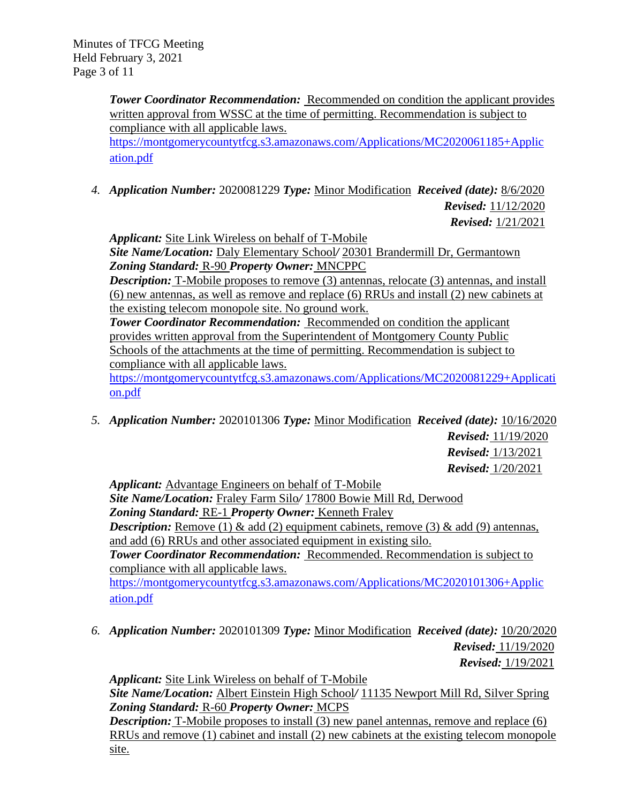**Tower Coordinator Recommendation:** Recommended on condition the applicant provides written approval from WSSC at the time of permitting. Recommendation is subject to compliance with all applicable laws. [https://montgomerycountytfcg.s3.amazonaws.com/Applications/MC2020061185+Applic](https://montgomerycountytfcg.s3.amazonaws.com/Applications/MC2020061185+Application.pdf) [ation.pdf](https://montgomerycountytfcg.s3.amazonaws.com/Applications/MC2020061185+Application.pdf)

*4. Application Number:* 2020081229 *Type:* Minor Modification *Received (date):* 8/6/2020

 *Revised:* 11/12/2020  *Revised:* 1/21/2021

*Applicant:* Site Link Wireless on behalf of T-Mobile

*Site Name/Location:* Daly Elementary School*/* 20301 Brandermill Dr, Germantown *Zoning Standard:* R-90 *Property Owner:* MNCPPC

**Description:** T-Mobile proposes to remove (3) antennas, relocate (3) antennas, and install (6) new antennas, as well as remove and replace (6) RRUs and install (2) new cabinets at the existing telecom monopole site. No ground work.

**Tower Coordinator Recommendation:** Recommended on condition the applicant provides written approval from the Superintendent of Montgomery County Public Schools of the attachments at the time of permitting. Recommendation is subject to compliance with all applicable laws.

[https://montgomerycountytfcg.s3.amazonaws.com/Applications/MC2020081229+Applicati](https://montgomerycountytfcg.s3.amazonaws.com/Applications/MC2020081229+Application.pdf) [on.pdf](https://montgomerycountytfcg.s3.amazonaws.com/Applications/MC2020081229+Application.pdf)

*5. Application Number:* 2020101306 *Type:* Minor Modification *Received (date):* 10/16/2020

*Revised:* 11/19/2020 *Revised:* 1/13/2021 *Revised:* 1/20/2021

*Applicant:* Advantage Engineers on behalf of T-Mobile *Site Name/Location:* Fraley Farm Silo*/* 17800 Bowie Mill Rd, Derwood *Zoning Standard:* RE-1 *Property Owner:* Kenneth Fraley *Description:* Remove (1)  $\&$  add (2) equipment cabinets, remove (3)  $\&$  add (9) antennas, and add (6) RRUs and other associated equipment in existing silo. *Tower Coordinator Recommendation:* Recommended. Recommendation is subject to compliance with all applicable laws. [https://montgomerycountytfcg.s3.amazonaws.com/Applications/MC2020101306+Applic](https://montgomerycountytfcg.s3.amazonaws.com/Applications/MC2020101306+Application.pdf)

[ation.pdf](https://montgomerycountytfcg.s3.amazonaws.com/Applications/MC2020101306+Application.pdf)

*6. Application Number:* 2020101309 *Type:* Minor Modification *Received (date):* 10/20/2020  *Revised:* 11/19/2020  *Revised:* 1/19/2021

*Applicant:* Site Link Wireless on behalf of T-Mobile *Site Name/Location:* Albert Einstein High School*/* 11135 Newport Mill Rd, Silver Spring *Zoning Standard:* R-60 *Property Owner:* MCPS **Description:** T-Mobile proposes to install (3) new panel antennas, remove and replace (6)

RRUs and remove (1) cabinet and install (2) new cabinets at the existing telecom monopole site.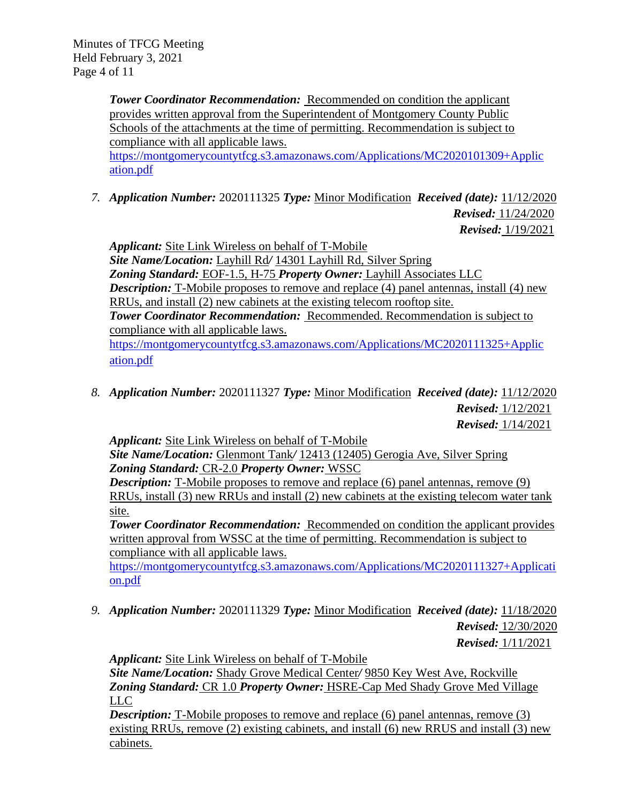**Tower Coordinator Recommendation:** Recommended on condition the applicant provides written approval from the Superintendent of Montgomery County Public Schools of the attachments at the time of permitting. Recommendation is subject to compliance with all applicable laws.

[https://montgomerycountytfcg.s3.amazonaws.com/Applications/MC2020101309+Applic](https://montgomerycountytfcg.s3.amazonaws.com/Applications/MC2020101309+Application.pdf) [ation.pdf](https://montgomerycountytfcg.s3.amazonaws.com/Applications/MC2020101309+Application.pdf)

*7. Application Number:* 2020111325 *Type:* Minor Modification *Received (date):* 11/12/2020

 *Revised:* 11/24/2020  *Revised:* 1/19/2021

*Applicant:* Site Link Wireless on behalf of T-Mobile *Site Name/Location:* Layhill Rd*/* 14301 Layhill Rd, Silver Spring *Zoning Standard:* EOF-1.5, H-75 *Property Owner:* Layhill Associates LLC *Description:* T-Mobile proposes to remove and replace (4) panel antennas, install (4) new RRUs, and install (2) new cabinets at the existing telecom rooftop site. *Tower Coordinator Recommendation:* Recommended. Recommendation is subject to compliance with all applicable laws. [https://montgomerycountytfcg.s3.amazonaws.com/Applications/MC2020111325+Applic](https://montgomerycountytfcg.s3.amazonaws.com/Applications/MC2020111325+Application.pdf) [ation.pdf](https://montgomerycountytfcg.s3.amazonaws.com/Applications/MC2020111325+Application.pdf)

*8. Application Number:* 2020111327 *Type:* Minor Modification *Received (date):* 11/12/2020 *Revised:* 1/12/2021

 *Revised:* 1/14/2021

*Applicant:* Site Link Wireless on behalf of T-Mobile

*Site Name/Location:* Glenmont Tank*/* 12413 (12405) Gerogia Ave, Silver Spring *Zoning Standard:* CR-2.0 *Property Owner:* WSSC

*Description:* T-Mobile proposes to remove and replace (6) panel antennas, remove (9) RRUs, install (3) new RRUs and install (2) new cabinets at the existing telecom water tank site.

**Tower Coordinator Recommendation:** Recommended on condition the applicant provides written approval from WSSC at the time of permitting. Recommendation is subject to compliance with all applicable laws.

[https://montgomerycountytfcg.s3.amazonaws.com/Applications/MC2020111327+Applicati](https://montgomerycountytfcg.s3.amazonaws.com/Applications/MC2020111327+Application.pdf) [on.pdf](https://montgomerycountytfcg.s3.amazonaws.com/Applications/MC2020111327+Application.pdf)

*9. Application Number:* 2020111329 *Type:* Minor Modification *Received (date):* 11/18/2020 *Revised:* 12/30/2020 *Revised:* 1/11/2021

*Applicant:* Site Link Wireless on behalf of T-Mobile

*Site Name/Location:* Shady Grove Medical Center*/* 9850 Key West Ave, Rockville *Zoning Standard:* CR 1.0 *Property Owner:* HSRE-Cap Med Shady Grove Med Village LLC

*Description:* T-Mobile proposes to remove and replace (6) panel antennas, remove (3) existing RRUs, remove (2) existing cabinets, and install (6) new RRUS and install (3) new cabinets.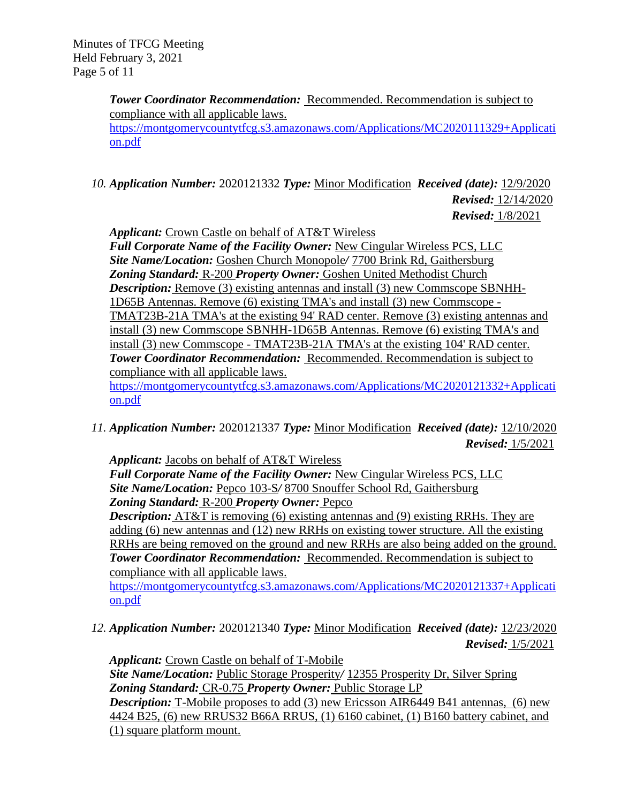**Tower Coordinator Recommendation:** Recommended. Recommendation is subject to compliance with all applicable laws. [https://montgomerycountytfcg.s3.amazonaws.com/Applications/MC2020111329+Applicati](https://montgomerycountytfcg.s3.amazonaws.com/Applications/MC2020111329+Application.pdf) [on.pdf](https://montgomerycountytfcg.s3.amazonaws.com/Applications/MC2020111329+Application.pdf)

*10. Application Number:* 2020121332 *Type:* Minor Modification *Received (date):* 12/9/2020 *Revised:* 12/14/2020 *Revised:* 1/8/2021

*Applicant:* Crown Castle on behalf of AT&T Wireless

*Full Corporate Name of the Facility Owner:* New Cingular Wireless PCS, LLC *Site Name/Location:* Goshen Church Monopole*/* 7700 Brink Rd, Gaithersburg *Zoning Standard:* R-200 *Property Owner:* Goshen United Methodist Church *Description:* Remove (3) existing antennas and install (3) new Commscope SBNHH-1D65B Antennas. Remove (6) existing TMA's and install (3) new Commscope - TMAT23B-21A TMA's at the existing 94' RAD center. Remove (3) existing antennas and install (3) new Commscope SBNHH-1D65B Antennas. Remove (6) existing TMA's and install (3) new Commscope - TMAT23B-21A TMA's at the existing 104' RAD center. *Tower Coordinator Recommendation:* Recommended. Recommendation is subject to compliance with all applicable laws.

[https://montgomerycountytfcg.s3.amazonaws.com/Applications/MC2020121332+Applicati](https://montgomerycountytfcg.s3.amazonaws.com/Applications/MC2020121332+Application.pdf) [on.pdf](https://montgomerycountytfcg.s3.amazonaws.com/Applications/MC2020121332+Application.pdf)

*11. Application Number:* 2020121337 *Type:* Minor Modification *Received (date):* 12/10/2020 *Revised:* 1/5/2021

*Applicant:* Jacobs on behalf of AT&T Wireless

*Full Corporate Name of the Facility Owner:* New Cingular Wireless PCS, LLC *Site Name/Location:* Pepco 103-S*/* 8700 Snouffer School Rd, Gaithersburg *Zoning Standard:* R-200 *Property Owner:* Pepco

*Description:* AT&T is removing (6) existing antennas and (9) existing RRHs. They are adding (6) new antennas and (12) new RRHs on existing tower structure. All the existing RRHs are being removed on the ground and new RRHs are also being added on the ground. *Tower Coordinator Recommendation:* Recommended. Recommendation is subject to compliance with all applicable laws.

[https://montgomerycountytfcg.s3.amazonaws.com/Applications/MC2020121337+Applicati](https://montgomerycountytfcg.s3.amazonaws.com/Applications/MC2020121337+Application.pdf) [on.pdf](https://montgomerycountytfcg.s3.amazonaws.com/Applications/MC2020121337+Application.pdf)

*12. Application Number:* 2020121340 *Type:* Minor Modification *Received (date):* 12/23/2020  *Revised:* 1/5/2021

*Applicant:* Crown Castle on behalf of T-Mobile *Site Name/Location:* Public Storage Prosperity*/* 12355 Prosperity Dr, Silver Spring *Zoning Standard:* CR-0.75 *Property Owner:* Public Storage LP *Description:* T-Mobile proposes to add (3) new Ericsson AIR6449 B41 antennas, (6) new 4424 B25, (6) new RRUS32 B66A RRUS, (1) 6160 cabinet, (1) B160 battery cabinet, and (1) square platform mount.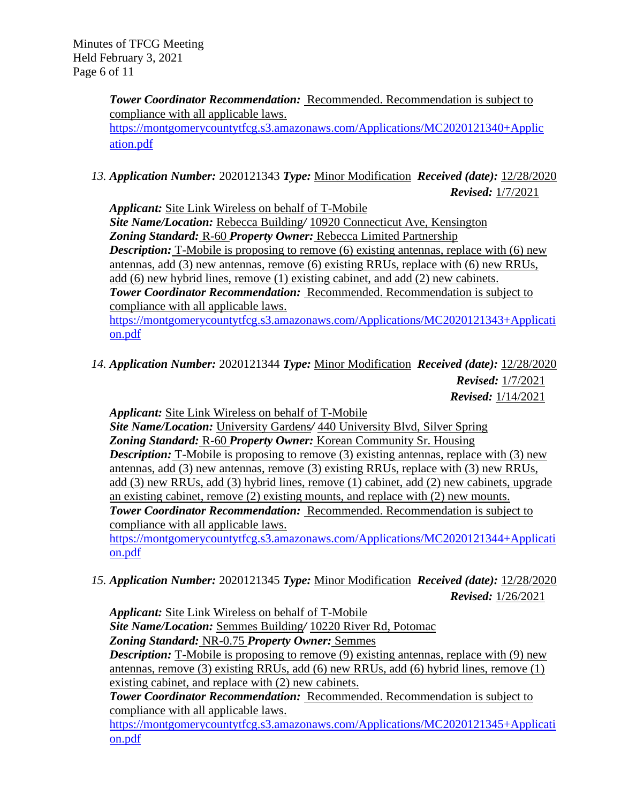Minutes of TFCG Meeting Held February 3, 2021 Page 6 of 11

> **Tower Coordinator Recommendation: Recommended. Recommendation is subject to** compliance with all applicable laws. [https://montgomerycountytfcg.s3.amazonaws.com/Applications/MC2020121340+Applic](https://montgomerycountytfcg.s3.amazonaws.com/Applications/MC2020121340+Application.pdf) [ation.pdf](https://montgomerycountytfcg.s3.amazonaws.com/Applications/MC2020121340+Application.pdf)

*13. Application Number:* 2020121343 *Type:* Minor Modification *Received (date):* 12/28/2020  *Revised:* 1/7/2021

*Applicant:* Site Link Wireless on behalf of T-Mobile

*Site Name/Location:* Rebecca Building*/* 10920 Connecticut Ave, Kensington *Zoning Standard:* R-60 *Property Owner:* Rebecca Limited Partnership *Description:* T-Mobile is proposing to remove (6) existing antennas, replace with (6) new antennas, add (3) new antennas, remove (6) existing RRUs, replace with (6) new RRUs, add (6) new hybrid lines, remove (1) existing cabinet, and add (2) new cabinets. *Tower Coordinator Recommendation:* Recommended. Recommendation is subject to compliance with all applicable laws.

[https://montgomerycountytfcg.s3.amazonaws.com/Applications/MC2020121343+Applicati](https://montgomerycountytfcg.s3.amazonaws.com/Applications/MC2020121343+Application.pdf) [on.pdf](https://montgomerycountytfcg.s3.amazonaws.com/Applications/MC2020121343+Application.pdf)

*14. Application Number:* 2020121344 *Type:* Minor Modification *Received (date):* 12/28/2020  *Revised:* 1/7/2021

 *Revised:* 1/14/2021

*Applicant:* Site Link Wireless on behalf of T-Mobile

*Site Name/Location:* University Gardens*/* 440 University Blvd, Silver Spring *Zoning Standard:* R-60 *Property Owner:* Korean Community Sr. Housing *Description:* T-Mobile is proposing to remove (3) existing antennas, replace with (3) new antennas, add (3) new antennas, remove (3) existing RRUs, replace with (3) new RRUs, add (3) new RRUs, add (3) hybrid lines, remove (1) cabinet, add (2) new cabinets, upgrade an existing cabinet, remove (2) existing mounts, and replace with (2) new mounts. *Tower Coordinator Recommendation:* Recommended. Recommendation is subject to compliance with all applicable laws.

[https://montgomerycountytfcg.s3.amazonaws.com/Applications/MC2020121344+Applicati](https://montgomerycountytfcg.s3.amazonaws.com/Applications/MC2020121344+Application.pdf) [on.pdf](https://montgomerycountytfcg.s3.amazonaws.com/Applications/MC2020121344+Application.pdf)

*15. Application Number:* 2020121345 *Type:* Minor Modification *Received (date):* 12/28/2020  *Revised:* 1/26/2021

*Applicant:* Site Link Wireless on behalf of T-Mobile

*Site Name/Location:* Semmes Building*/* 10220 River Rd, Potomac *Zoning Standard:* NR-0.75 *Property Owner:* Semmes

*Description:* T-Mobile is proposing to remove (9) existing antennas, replace with (9) new antennas, remove (3) existing RRUs, add (6) new RRUs, add (6) hybrid lines, remove (1) existing cabinet, and replace with (2) new cabinets.

*Tower Coordinator Recommendation:* Recommended. Recommendation is subject to compliance with all applicable laws.

[https://montgomerycountytfcg.s3.amazonaws.com/Applications/MC2020121345+Applicati](https://montgomerycountytfcg.s3.amazonaws.com/Applications/MC2020121345+Application.pdf) [on.pdf](https://montgomerycountytfcg.s3.amazonaws.com/Applications/MC2020121345+Application.pdf)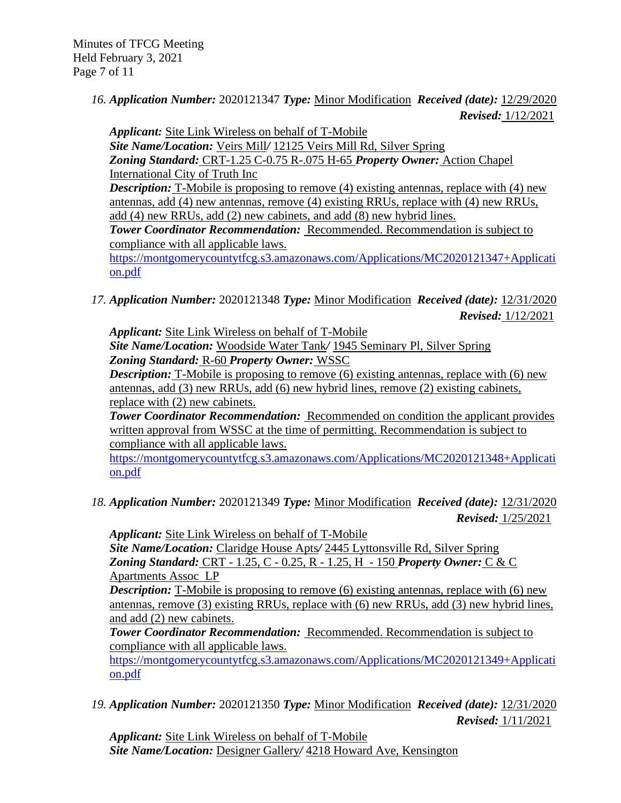Minutes of TFCG Meeting Held February 3, 2021 Page 7 of 11

> *16. Application Number:* 2020121347 *Type:* Minor Modification *Received (date):* 12/29/2020  *Revised:* 1/12/2021

*Applicant:* Site Link Wireless on behalf of T-Mobile *Site Name/Location:* Veirs Mill*/* 12125 Veirs Mill Rd, Silver Spring *Zoning Standard:* CRT-1.25 C-0.75 R-.075 H-65 *Property Owner:* Action Chapel International City of Truth Inc *Description:* T-Mobile is proposing to remove (4) existing antennas, replace with (4) new antennas, add (4) new antennas, remove (4) existing RRUs, replace with (4) new RRUs, add (4) new RRUs, add (2) new cabinets, and add (8) new hybrid lines. *Tower Coordinator Recommendation:* Recommended. Recommendation is subject to compliance with all applicable laws. [https://montgomerycountytfcg.s3.amazonaws.com/Applications/MC2020121347+Applicati](https://montgomerycountytfcg.s3.amazonaws.com/Applications/MC2020121347+Application.pdf) [on.pdf](https://montgomerycountytfcg.s3.amazonaws.com/Applications/MC2020121347+Application.pdf)

*17. Application Number:* 2020121348 *Type:* Minor Modification *Received (date):* 12/31/2020  *Revised:* 1/12/2021

*Applicant:* Site Link Wireless on behalf of T-Mobile *Site Name/Location:* Woodside Water Tank*/* 1945 Seminary Pl, Silver Spring *Zoning Standard:* R-60 *Property Owner:* WSSC

*Description:* T-Mobile is proposing to remove (6) existing antennas, replace with (6) new antennas, add (3) new RRUs, add (6) new hybrid lines, remove (2) existing cabinets, replace with (2) new cabinets.

**Tower Coordinator Recommendation:** Recommended on condition the applicant provides written approval from WSSC at the time of permitting. Recommendation is subject to compliance with all applicable laws.

[https://montgomerycountytfcg.s3.amazonaws.com/Applications/MC2020121348+Applicati](https://montgomerycountytfcg.s3.amazonaws.com/Applications/MC2020121348+Application.pdf) [on.pdf](https://montgomerycountytfcg.s3.amazonaws.com/Applications/MC2020121348+Application.pdf)

*18. Application Number:* 2020121349 *Type:* Minor Modification *Received (date):* 12/31/2020  *Revised:* 1/25/2021

*Applicant:* Site Link Wireless on behalf of T-Mobile *Site Name/Location:* Claridge House Apts*/* 2445 Lyttonsville Rd, Silver Spring *Zoning Standard:* CRT - 1.25, C - 0.25, R - 1.25, H - 150 *Property Owner:* C & C Apartments Assoc LP

*Description:* T-Mobile is proposing to remove (6) existing antennas, replace with (6) new antennas, remove (3) existing RRUs, replace with (6) new RRUs, add (3) new hybrid lines, and add (2) new cabinets.

**Tower Coordinator Recommendation: Recommended. Recommendation is subject to** compliance with all applicable laws.

[https://montgomerycountytfcg.s3.amazonaws.com/Applications/MC2020121349+Applicati](https://montgomerycountytfcg.s3.amazonaws.com/Applications/MC2020121349+Application.pdf) [on.pdf](https://montgomerycountytfcg.s3.amazonaws.com/Applications/MC2020121349+Application.pdf)

*19. Application Number:* 2020121350 *Type:* Minor Modification *Received (date):* 12/31/2020  *Revised:* 1/11/2021

*Applicant:* Site Link Wireless on behalf of T-Mobile *Site Name/Location:* Designer Gallery*/* 4218 Howard Ave, Kensington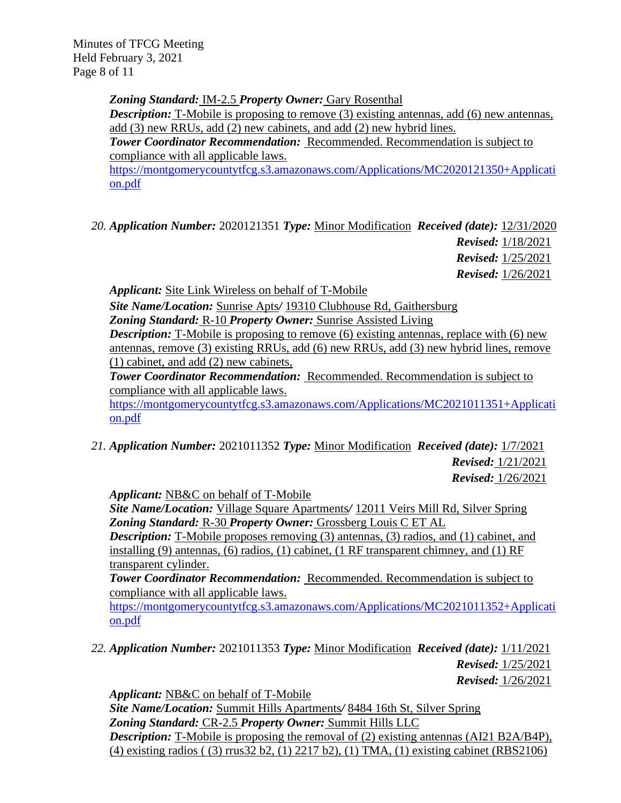Minutes of TFCG Meeting Held February 3, 2021 Page 8 of 11

*Zoning Standard:* IM-2.5 *Property Owner:* Gary Rosenthal

*Description:* T-Mobile is proposing to remove (3) existing antennas, add (6) new antennas, add (3) new RRUs, add (2) new cabinets, and add (2) new hybrid lines.

*Tower Coordinator Recommendation:* Recommended. Recommendation is subject to compliance with all applicable laws.

[https://montgomerycountytfcg.s3.amazonaws.com/Applications/MC2020121350+Applicati](https://montgomerycountytfcg.s3.amazonaws.com/Applications/MC2020121350+Application.pdf) [on.pdf](https://montgomerycountytfcg.s3.amazonaws.com/Applications/MC2020121350+Application.pdf)

*20. Application Number:* 2020121351 *Type:* Minor Modification *Received (date):* 12/31/2020 *Revised:* 1/18/2021 *Revised:* 1/25/2021

*Revised:* 1/26/2021

*Applicant:* Site Link Wireless on behalf of T-Mobile

*Site Name/Location:* Sunrise Apts*/* 19310 Clubhouse Rd, Gaithersburg

*Zoning Standard:* R-10 *Property Owner:* Sunrise Assisted Living

*Description:* T-Mobile is proposing to remove (6) existing antennas, replace with (6) new antennas, remove (3) existing RRUs, add (6) new RRUs, add (3) new hybrid lines, remove (1) cabinet, and add (2) new cabinets,

*Tower Coordinator Recommendation:* Recommended. Recommendation is subject to compliance with all applicable laws.

[https://montgomerycountytfcg.s3.amazonaws.com/Applications/MC2021011351+Applicati](https://montgomerycountytfcg.s3.amazonaws.com/Applications/MC2021011351+Application.pdf) [on.pdf](https://montgomerycountytfcg.s3.amazonaws.com/Applications/MC2021011351+Application.pdf)

*21. Application Number:* 2021011352 *Type:* Minor Modification *Received (date):* 1/7/2021 *Revised:* 1/21/2021 *Revised:* 1/26/2021

*Applicant:* NB&C on behalf of T-Mobile

*Site Name/Location:* Village Square Apartments*/* 12011 Veirs Mill Rd, Silver Spring *Zoning Standard:* R-30 *Property Owner:* Grossberg Louis C ET AL

*Description:* T-Mobile proposes removing (3) antennas, (3) radios, and (1) cabinet, and installing (9) antennas, (6) radios, (1) cabinet, (1 RF transparent chimney, and (1) RF transparent cylinder.

*Tower Coordinator Recommendation:* Recommended. Recommendation is subject to compliance with all applicable laws.

[https://montgomerycountytfcg.s3.amazonaws.com/Applications/MC2021011352+Applicati](https://montgomerycountytfcg.s3.amazonaws.com/Applications/MC2021011352+Application.pdf) [on.pdf](https://montgomerycountytfcg.s3.amazonaws.com/Applications/MC2021011352+Application.pdf)

*22. Application Number:* 2021011353 *Type:* Minor Modification *Received (date):* 1/11/2021 *Revised:* 1/25/2021

*Revised:* 1/26/2021

*Applicant:* NB&C on behalf of T-Mobile *Site Name/Location:* Summit Hills Apartments*/* 8484 16th St, Silver Spring *Zoning Standard:* CR-2.5 *Property Owner:* Summit Hills LLC *Description:* T-Mobile is proposing the removal of (2) existing antennas (AI21 B2A/B4P), (4) existing radios ( (3) rrus32 b2, (1) 2217 b2), (1) TMA, (1) existing cabinet (RBS2106)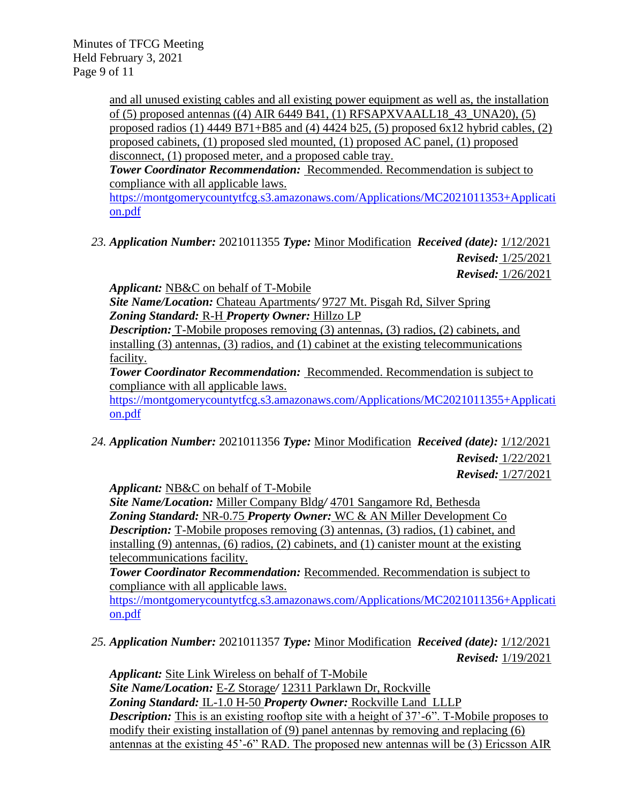Minutes of TFCG Meeting Held February 3, 2021 Page 9 of 11

> and all unused existing cables and all existing power equipment as well as, the installation of (5) proposed antennas ((4) AIR 6449 B41, (1) RFSAPXVAALL18\_43\_UNA20), (5) proposed radios (1)  $4449 B71+B85$  and (4)  $4424 b25$ , (5) proposed  $6x12$  hybrid cables, (2) proposed cabinets, (1) proposed sled mounted, (1) proposed AC panel, (1) proposed disconnect, (1) proposed meter, and a proposed cable tray.

*Tower Coordinator Recommendation:* Recommended. Recommendation is subject to compliance with all applicable laws.

[https://montgomerycountytfcg.s3.amazonaws.com/Applications/MC2021011353+Applicati](https://montgomerycountytfcg.s3.amazonaws.com/Applications/MC2021011353+Application.pdf) [on.pdf](https://montgomerycountytfcg.s3.amazonaws.com/Applications/MC2021011353+Application.pdf)

*23. Application Number:* 2021011355 *Type:* Minor Modification *Received (date):* 1/12/2021 *Revised:* 1/25/2021

*Revised:* 1/26/2021

*Applicant:* NB&C on behalf of T-Mobile

*Site Name/Location:* Chateau Apartments*/* 9727 Mt. Pisgah Rd, Silver Spring *Zoning Standard:* R-H *Property Owner:* Hillzo LP

*Description:* T-Mobile proposes removing (3) antennas, (3) radios, (2) cabinets, and installing (3) antennas, (3) radios, and (1) cabinet at the existing telecommunications facility.

*Tower Coordinator Recommendation:* Recommended. Recommendation is subject to compliance with all applicable laws.

[https://montgomerycountytfcg.s3.amazonaws.com/Applications/MC2021011355+Applicati](https://montgomerycountytfcg.s3.amazonaws.com/Applications/MC2021011355+Application.pdf) [on.pdf](https://montgomerycountytfcg.s3.amazonaws.com/Applications/MC2021011355+Application.pdf)

*24. Application Number:* 2021011356 *Type:* Minor Modification *Received (date):* 1/12/2021 *Revised:* 1/22/2021 *Revised:* 1/27/2021

*Applicant:* NB&C on behalf of T-Mobile

*Site Name/Location:* Miller Company Bldg*/* 4701 Sangamore Rd, Bethesda *Zoning Standard:* NR-0.75 *Property Owner:* WC & AN Miller Development Co *Description:* T-Mobile proposes removing (3) antennas, (3) radios, (1) cabinet, and installing (9) antennas, (6) radios, (2) cabinets, and (1) canister mount at the existing telecommunications facility.

*Tower Coordinator Recommendation:* Recommended. Recommendation is subject to compliance with all applicable laws.

[https://montgomerycountytfcg.s3.amazonaws.com/Applications/MC2021011356+Applicati](https://montgomerycountytfcg.s3.amazonaws.com/Applications/MC2021011356+Application.pdf) [on.pdf](https://montgomerycountytfcg.s3.amazonaws.com/Applications/MC2021011356+Application.pdf)

*25. Application Number:* 2021011357 *Type:* Minor Modification *Received (date):* 1/12/2021  *Revised:* 1/19/2021

*Applicant:* Site Link Wireless on behalf of T-Mobile *Site Name/Location:* E-Z Storage*/* 12311 Parklawn Dr, Rockville *Zoning Standard:* IL-1.0 H-50 *Property Owner:* Rockville Land LLLP **Description:** This is an existing rooftop site with a height of 37'-6". T-Mobile proposes to modify their existing installation of (9) panel antennas by removing and replacing (6) antennas at the existing 45'-6" RAD. The proposed new antennas will be (3) Ericsson AIR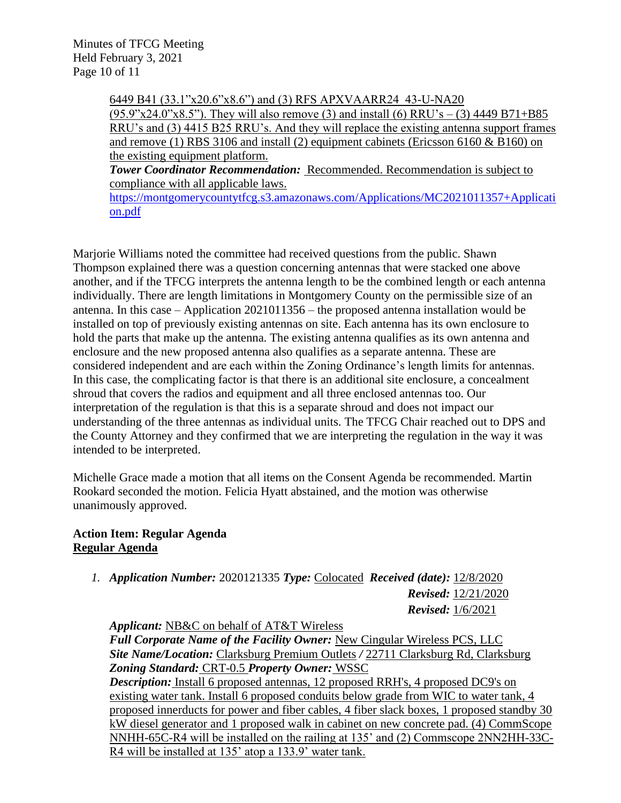Minutes of TFCG Meeting Held February 3, 2021 Page 10 of 11

> 6449 B41 (33.1"x20.6"x8.6") and (3) RFS APXVAARR24\_43-U-NA20  $(95.9"x24.0"x8.5")$ . They will also remove (3) and install (6) RRU's – (3) 4449 B71+B85 RRU's and (3) 4415 B25 RRU's. And they will replace the existing antenna support frames and remove (1) RBS 3106 and install (2) equipment cabinets (Ericsson 6160  $\&$  B160) on the existing equipment platform.

*Tower Coordinator Recommendation:* Recommended. Recommendation is subject to compliance with all applicable laws.

[https://montgomerycountytfcg.s3.amazonaws.com/Applications/MC2021011357+Applicati](https://montgomerycountytfcg.s3.amazonaws.com/Applications/MC2021011357+Application.pdf) [on.pdf](https://montgomerycountytfcg.s3.amazonaws.com/Applications/MC2021011357+Application.pdf)

Marjorie Williams noted the committee had received questions from the public. Shawn Thompson explained there was a question concerning antennas that were stacked one above another, and if the TFCG interprets the antenna length to be the combined length or each antenna individually. There are length limitations in Montgomery County on the permissible size of an antenna. In this case – Application 2021011356 – the proposed antenna installation would be installed on top of previously existing antennas on site. Each antenna has its own enclosure to hold the parts that make up the antenna. The existing antenna qualifies as its own antenna and enclosure and the new proposed antenna also qualifies as a separate antenna. These are considered independent and are each within the Zoning Ordinance's length limits for antennas. In this case, the complicating factor is that there is an additional site enclosure, a concealment shroud that covers the radios and equipment and all three enclosed antennas too. Our interpretation of the regulation is that this is a separate shroud and does not impact our understanding of the three antennas as individual units. The TFCG Chair reached out to DPS and the County Attorney and they confirmed that we are interpreting the regulation in the way it was intended to be interpreted.

Michelle Grace made a motion that all items on the Consent Agenda be recommended. Martin Rookard seconded the motion. Felicia Hyatt abstained, and the motion was otherwise unanimously approved.

# **Action Item: Regular Agenda Regular Agenda**

*1. Application Number:* 2020121335 *Type:* Colocated *Received (date):* 12/8/2020  *Revised:* 12/21/2020  *Revised:* 1/6/2021

*Applicant:* NB&C on behalf of AT&T Wireless

*Full Corporate Name of the Facility Owner:* New Cingular Wireless PCS, LLC *Site Name/Location:* Clarksburg Premium Outlets */* 22711 Clarksburg Rd, Clarksburg *Zoning Standard:* CRT-0.5 *Property Owner:* WSSC *Description:* Install 6 proposed antennas, 12 proposed RRH's, 4 proposed DC9's on existing water tank. Install 6 proposed conduits below grade from WIC to water tank, 4 proposed innerducts for power and fiber cables, 4 fiber slack boxes, 1 proposed standby 30

kW diesel generator and 1 proposed walk in cabinet on new concrete pad. (4) CommScope NNHH-65C-R4 will be installed on the railing at 135' and (2) Commscope 2NN2HH-33C-R4 will be installed at 135' atop a 133.9' water tank.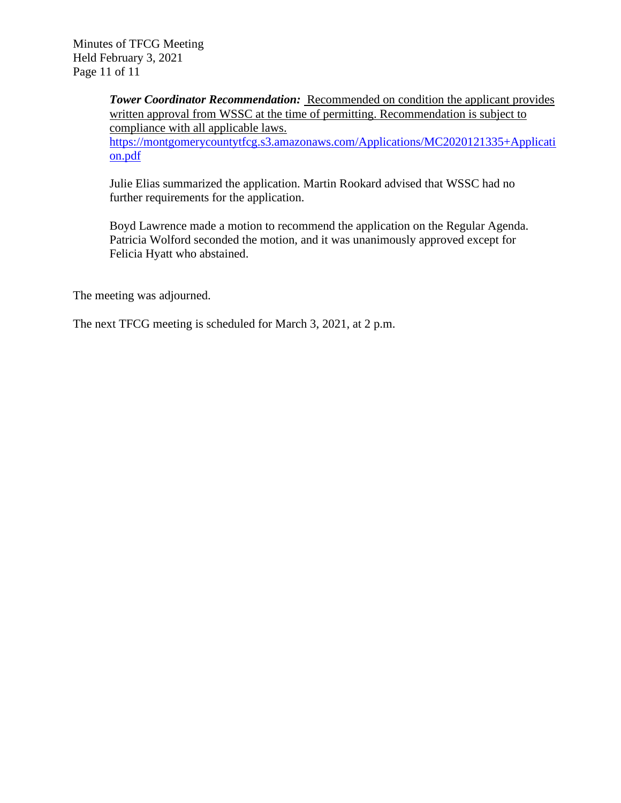Minutes of TFCG Meeting Held February 3, 2021 Page 11 of 11

> **Tower Coordinator Recommendation:** Recommended on condition the applicant provides written approval from WSSC at the time of permitting. Recommendation is subject to compliance with all applicable laws. [https://montgomerycountytfcg.s3.amazonaws.com/Applications/MC2020121335+Applicati](https://montgomerycountytfcg.s3.amazonaws.com/Applications/MC2020121335+Application.pdf) [on.pdf](https://montgomerycountytfcg.s3.amazonaws.com/Applications/MC2020121335+Application.pdf)

Julie Elias summarized the application. Martin Rookard advised that WSSC had no further requirements for the application.

Boyd Lawrence made a motion to recommend the application on the Regular Agenda. Patricia Wolford seconded the motion, and it was unanimously approved except for Felicia Hyatt who abstained.

The meeting was adjourned.

The next TFCG meeting is scheduled for March 3, 2021, at 2 p.m.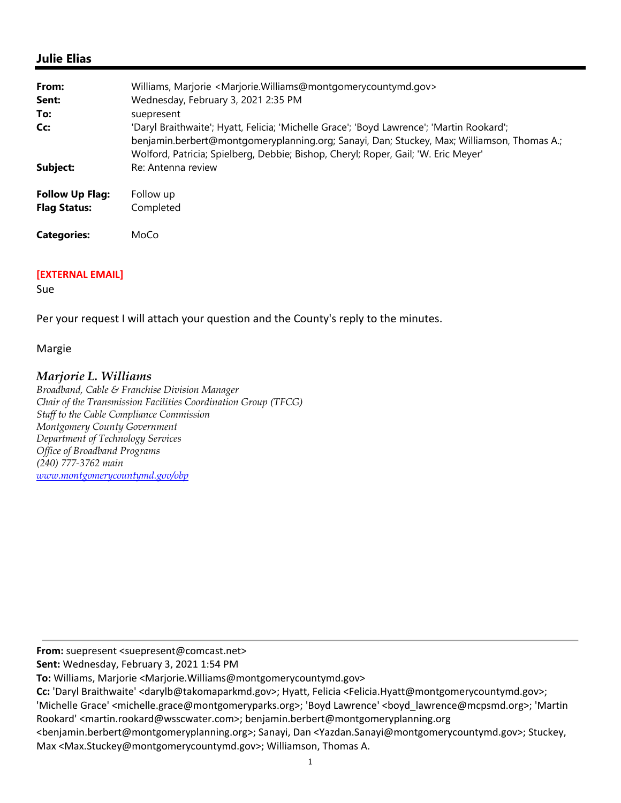## **Julie Elias**

| From:                                         | Williams, Marjorie <marjorie.williams@montgomerycountymd.gov></marjorie.williams@montgomerycountymd.gov>                                                                                                                                                                      |
|-----------------------------------------------|-------------------------------------------------------------------------------------------------------------------------------------------------------------------------------------------------------------------------------------------------------------------------------|
| Sent:                                         | Wednesday, February 3, 2021 2:35 PM                                                                                                                                                                                                                                           |
| To:                                           | suepresent                                                                                                                                                                                                                                                                    |
| Cc:                                           | 'Daryl Braithwaite'; Hyatt, Felicia; 'Michelle Grace'; 'Boyd Lawrence'; 'Martin Rookard';<br>benjamin.berbert@montgomeryplanning.org; Sanayi, Dan; Stuckey, Max; Williamson, Thomas A.;<br>Wolford, Patricia; Spielberg, Debbie; Bishop, Cheryl; Roper, Gail; 'W. Eric Meyer' |
| Subject:                                      | Re: Antenna review                                                                                                                                                                                                                                                            |
| <b>Follow Up Flag:</b><br><b>Flag Status:</b> | Follow up<br>Completed                                                                                                                                                                                                                                                        |
| <b>Categories:</b>                            | MoCo                                                                                                                                                                                                                                                                          |

#### **[EXTERNAL EMAIL]**

Sue

Per your request I will attach your question and the County's reply to the minutes.

#### Margie

#### *Marjorie L. Williams*

*Broadband, Cable & Franchise Division Manager Chair of the Transmission Facilities Coordination Group (TFCG) Staff to the Cable Compliance Commission Montgomery County Government Department of Technology Services Office of Broadband Programs (240) 777-3762 main www.montgomerycountymd.gov/obp*

**From:** suepresent <suepresent@comcast.net>

**Sent:** Wednesday, February 3, 2021 1:54 PM

**To:** Williams, Marjorie <Marjorie.Williams@montgomerycountymd.gov>

**Cc:** 'Daryl Braithwaite' <darylb@takomaparkmd.gov>; Hyatt, Felicia <Felicia.Hyatt@montgomerycountymd.gov>;

'Michelle Grace' <michelle.grace@montgomeryparks.org>; 'Boyd Lawrence' <boyd\_lawrence@mcpsmd.org>; 'Martin Rookard' <martin.rookard@wsscwater.com>; benjamin.berbert@montgomeryplanning.org

<benjamin.berbert@montgomeryplanning.org>; Sanayi, Dan <Yazdan.Sanayi@montgomerycountymd.gov>; Stuckey, Max <Max.Stuckey@montgomerycountymd.gov>; Williamson, Thomas A.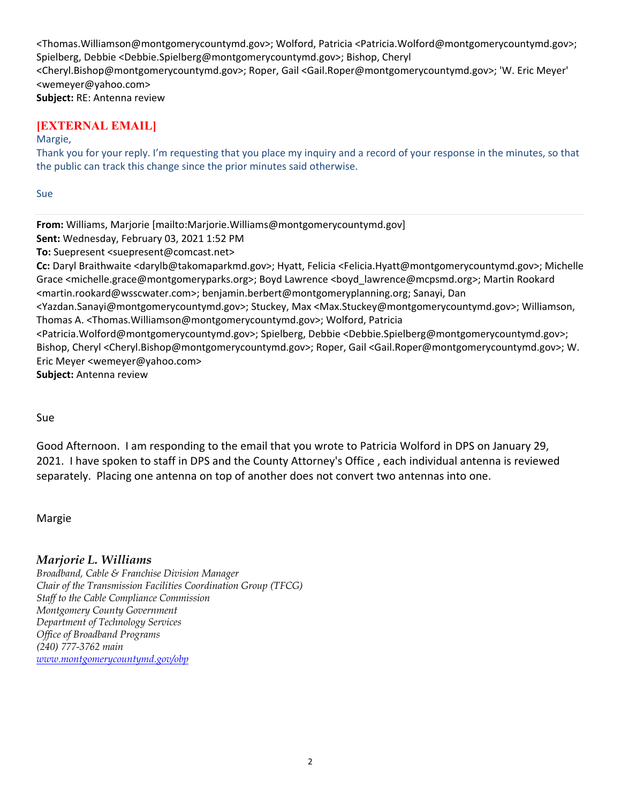<Thomas.Williamson@montgomerycountymd.gov>; Wolford, Patricia <Patricia.Wolford@montgomerycountymd.gov>; Spielberg, Debbie <Debbie.Spielberg@montgomerycountymd.gov>; Bishop, Cheryl <Cheryl.Bishop@montgomerycountymd.gov>; Roper, Gail <Gail.Roper@montgomerycountymd.gov>; 'W. Eric Meyer' <wemeyer@yahoo.com> **Subject:** RE: Antenna review

# **[EXTERNAL EMAIL]**

#### Margie,

Thank you for your reply. I'm requesting that you place my inquiry and a record of your response in the minutes, so that the public can track this change since the prior minutes said otherwise.

Sue

**From:** Williams, Marjorie [mailto:Marjorie.Williams@montgomerycountymd.gov]

**Sent:** Wednesday, February 03, 2021 1:52 PM

**To:** Suepresent <suepresent@comcast.net>

**Cc:** Daryl Braithwaite <darylb@takomaparkmd.gov>; Hyatt, Felicia <Felicia.Hyatt@montgomerycountymd.gov>; Michelle Grace <michelle.grace@montgomeryparks.org>; Boyd Lawrence <boyd\_lawrence@mcpsmd.org>; Martin Rookard <martin.rookard@wsscwater.com>; benjamin.berbert@montgomeryplanning.org; Sanayi, Dan

<Yazdan.Sanayi@montgomerycountymd.gov>; Stuckey, Max <Max.Stuckey@montgomerycountymd.gov>; Williamson, Thomas A. <Thomas.Williamson@montgomerycountymd.gov>; Wolford, Patricia

<Patricia.Wolford@montgomerycountymd.gov>; Spielberg, Debbie <Debbie.Spielberg@montgomerycountymd.gov>; Bishop, Cheryl <Cheryl.Bishop@montgomerycountymd.gov>; Roper, Gail <Gail.Roper@montgomerycountymd.gov>; W. Eric Meyer <wemeyer@yahoo.com>

**Subject:** Antenna review

Sue

Good Afternoon. I am responding to the email that you wrote to Patricia Wolford in DPS on January 29, 2021. I have spoken to staff in DPS and the County Attorney's Office , each individual antenna is reviewed separately. Placing one antenna on top of another does not convert two antennas into one.

Margie

# *Marjorie L. Williams*

*Broadband, Cable & Franchise Division Manager Chair of the Transmission Facilities Coordination Group (TFCG) Staff to the Cable Compliance Commission Montgomery County Government Department of Technology Services Office of Broadband Programs (240) 777-3762 main www.montgomerycountymd.gov/obp*